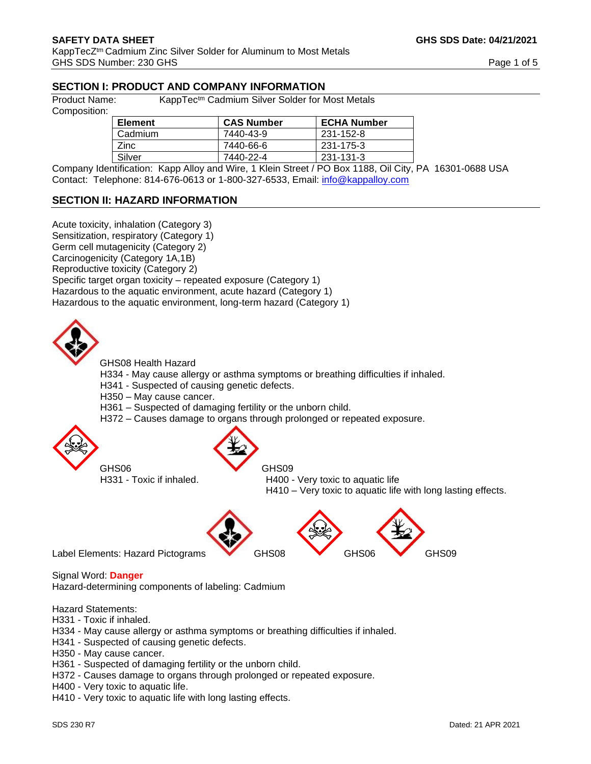# **SECTION I: PRODUCT AND COMPANY INFORMATION**

Product Name: KappTec<sup>tm</sup> Cadmium Silver Solder for Most Metals

Composition:

| <b>Element</b> | <b>CAS Number</b> | <b>ECHA Number</b> |
|----------------|-------------------|--------------------|
| Cadmium        | 7440-43-9         | 231-152-8          |
| <b>Zinc</b>    | 7440-66-6         | 231-175-3          |
| Silver         | 7440-22-4         | 231-131-3          |

Company Identification: Kapp Alloy and Wire, 1 Klein Street / PO Box 1188, Oil City, PA 16301-0688 USA Contact: Telephone: 814-676-0613 or 1-800-327-6533, Email: [info@kappalloy.com](mailto:info@kappalloy.com)

# **SECTION II: HAZARD INFORMATION**

Acute toxicity, inhalation (Category 3) Sensitization, respiratory (Category 1) Germ cell mutagenicity (Category 2) Carcinogenicity (Category 1A,1B) Reproductive toxicity (Category 2) Specific target organ toxicity – repeated exposure (Category 1) Hazardous to the aquatic environment, acute hazard (Category 1) Hazardous to the aquatic environment, long-term hazard (Category 1)



GHS08 Health Hazard

H334 - May cause allergy or asthma symptoms or breathing difficulties if inhaled.

- H341 Suspected of causing genetic defects.
- H350 May cause cancer.
- H361 Suspected of damaging fertility or the unborn child.
- H372 Causes damage to organs through prolonged or repeated exposure.





GHS06 GHS09

H331 - Toxic if inhaled. H400 - Very toxic to aquatic life

H410 – Very toxic to aquatic life with long lasting effects.





Label Elements: Hazard Pictograms GHS08 GHS06 GHS09

Signal Word: **Danger** 

Hazard-determining components of labeling: Cadmium

Hazard Statements:

- H331 Toxic if inhaled.
- H334 May cause allergy or asthma symptoms or breathing difficulties if inhaled.
- H341 Suspected of causing genetic defects.
- H350 May cause cancer.
- H361 Suspected of damaging fertility or the unborn child.
- H372 Causes damage to organs through prolonged or repeated exposure.
- H400 Very toxic to aquatic life.
- H410 Very toxic to aquatic life with long lasting effects.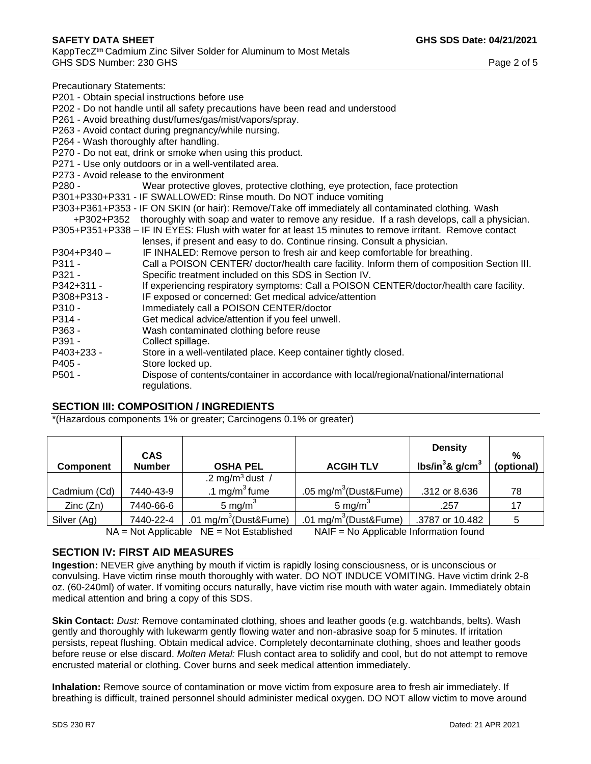Precautionary Statements:

P201 - Obtain special instructions before use

- P202 Do not handle until all safety precautions have been read and understood
- P261 Avoid breathing dust/fumes/gas/mist/vapors/spray.
- P263 Avoid contact during pregnancy/while nursing.
- P264 Wash thoroughly after handling.
- P270 Do not eat, drink or smoke when using this product.
- P271 Use only outdoors or in a well-ventilated area.
- P273 Avoid release to the environment
- P280 Wear protective gloves, protective clothing, eye protection, face protection
- P301+P330+P331 IF SWALLOWED: Rinse mouth. Do NOT induce vomiting
- P303+P361+P353 IF ON SKIN (or hair): Remove/Take off immediately all contaminated clothing. Wash
- +P302+P352 thoroughly with soap and water to remove any residue. If a rash develops, call a physician. P305+P351+P338 – IF IN EYES: Flush with water for at least 15 minutes to remove irritant. Remove contact
- lenses, if present and easy to do. Continue rinsing. Consult a physician.
- P304+P340 IF INHALED: Remove person to fresh air and keep comfortable for breathing.
- P311 Call a POISON CENTER/ doctor/health care facility. Inform them of composition Section III. P321 - Specific treatment included on this SDS in Section IV.
- P342+311 If experiencing respiratory symptoms: Call a POISON CENTER/doctor/health care facility.
- P308+P313 IF exposed or concerned: Get medical advice/attention
- P310 Immediately call a POISON CENTER/doctor
- P314 Get medical advice/attention if you feel unwell.
- P363 Wash contaminated clothing before reuse
- P391 Collect spillage.
- P403+233 Store in a well-ventilated place. Keep container tightly closed.
- P405 Store locked up.
- P501 Dispose of contents/container in accordance with local/regional/national/international regulations.

#### **SECTION III: COMPOSITION / INGREDIENTS**

\*(Hazardous components 1% or greater; Carcinogens 0.1% or greater)

| <b>Component</b>                                                                                                  | <b>CAS</b><br><b>Number</b> | <b>OSHA PEL</b>                   | <b>ACGIH TLV</b>                  | <b>Density</b><br>lbs/in ${}^{3}$ & g/cm ${}^{3}$ | %<br>(optional) |
|-------------------------------------------------------------------------------------------------------------------|-----------------------------|-----------------------------------|-----------------------------------|---------------------------------------------------|-----------------|
|                                                                                                                   |                             | .2 mg/m <sup>3</sup> dust /       |                                   |                                                   |                 |
| Cadmium (Cd)                                                                                                      | 7440-43-9                   | .1 mg/m <sup>3</sup> fume         | .05 mg/m <sup>3</sup> (Dust&Fume) | .312 or 8.636                                     | 78              |
| Zinc(Zn)                                                                                                          | 7440-66-6                   | 5 mg/m $3$                        | 5 mg/ $m3$                        | .257                                              | 17              |
| Silver (Ag)                                                                                                       | 7440-22-4                   | .01 mg/m <sup>3</sup> (Dust&Fume) | .01 mg/m <sup>3</sup> (Dust&Fume) | .3787 or 10.482                                   |                 |
| $NATE - N2$ Applicable Information found<br>$N_A = N_A + \Lambda_{\text{pol}}$ $N_B = N_B + \Lambda_{\text{pol}}$ |                             |                                   |                                   |                                                   |                 |

 $NA = Not$  Applicable  $NE = Not$  Established  $NAIF = No$  Applicable Information found

## **SECTION IV: FIRST AID MEASURES**

**Ingestion:** NEVER give anything by mouth if victim is rapidly losing consciousness, or is unconscious or convulsing. Have victim rinse mouth thoroughly with water. DO NOT INDUCE VOMITING. Have victim drink 2-8 oz. (60-240ml) of water. If vomiting occurs naturally, have victim rise mouth with water again. Immediately obtain medical attention and bring a copy of this SDS.

**Skin Contact:** *Dust:* Remove contaminated clothing, shoes and leather goods (e.g. watchbands, belts). Wash gently and thoroughly with lukewarm gently flowing water and non-abrasive soap for 5 minutes. If irritation persists, repeat flushing. Obtain medical advice. Completely decontaminate clothing, shoes and leather goods before reuse or else discard. *Molten Metal:* Flush contact area to solidify and cool, but do not attempt to remove encrusted material or clothing. Cover burns and seek medical attention immediately.

**Inhalation:** Remove source of contamination or move victim from exposure area to fresh air immediately. If breathing is difficult, trained personnel should administer medical oxygen. DO NOT allow victim to move around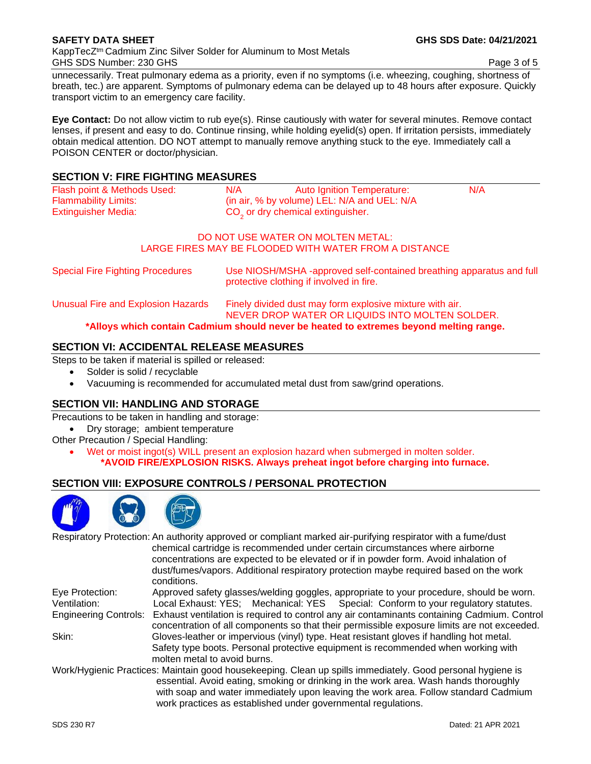KappTecZtm Cadmium Zinc Silver Solder for Aluminum to Most Metals GHS SDS Number: 230 GHS Page 3 of 5

unnecessarily. Treat pulmonary edema as a priority, even if no symptoms (i.e. wheezing, coughing, shortness of breath, tec.) are apparent. Symptoms of pulmonary edema can be delayed up to 48 hours after exposure. Quickly transport victim to an emergency care facility.

**Eye Contact:** Do not allow victim to rub eye(s). Rinse cautiously with water for several minutes. Remove contact lenses, if present and easy to do. Continue rinsing, while holding eyelid(s) open. If irritation persists, immediately obtain medical attention. DO NOT attempt to manually remove anything stuck to the eye. Immediately call a POISON CENTER or doctor/physician.

## **SECTION V: FIRE FIGHTING MEASURES**

| Flash point & Methods Used: | N/A<br>Auto Ignition Temperature:             | N/A |
|-----------------------------|-----------------------------------------------|-----|
| <b>Flammability Limits:</b> | (in air, % by volume) LEL: N/A and UEL: N/A   |     |
| Extinguisher Media:         | CO <sub>2</sub> or dry chemical extinguisher. |     |
|                             |                                               |     |

#### DO NOT USE WATER ON MOLTEN METAL: LARGE FIRES MAY BE FLOODED WITH WATER FROM A DISTANCE

| <b>Special Fire Fighting Procedures</b> | Use NIOSH/MSHA -approved self-contained breathing apparatus and full<br>protective clothing if involved in fire. |  |
|-----------------------------------------|------------------------------------------------------------------------------------------------------------------|--|
| Unusual Fire and Explosion Hazards      | Finely divided dust may form explosive mixture with air.                                                         |  |

NEVER DROP WATER OR LIQUIDS INTO MOLTEN SOLDER.

**\*Alloys which contain Cadmium should never be heated to extremes beyond melting range.** 

# **SECTION VI: ACCIDENTAL RELEASE MEASURES**

Steps to be taken if material is spilled or released:

- Solder is solid / recyclable
- Vacuuming is recommended for accumulated metal dust from saw/grind operations.

## **SECTION VII: HANDLING AND STORAGE**

Precautions to be taken in handling and storage:

- Dry storage; ambient temperature
- Other Precaution / Special Handling:
	- Wet or moist ingot(s) WILL present an explosion hazard when submerged in molten solder. **\*AVOID FIRE/EXPLOSION RISKS. Always preheat ingot before charging into furnace.**

# **SECTION VIII: EXPOSURE CONTROLS / PERSONAL PROTECTION**



|                              | Respiratory Protection: An authority approved or compliant marked air-purifying respirator with a fume/dust<br>chemical cartridge is recommended under certain circumstances where airborne<br>concentrations are expected to be elevated or if in powder form. Avoid inhalation of                                                                        |
|------------------------------|------------------------------------------------------------------------------------------------------------------------------------------------------------------------------------------------------------------------------------------------------------------------------------------------------------------------------------------------------------|
|                              | dust/fumes/vapors. Additional respiratory protection maybe required based on the work<br>conditions.                                                                                                                                                                                                                                                       |
| Eye Protection:              | Approved safety glasses/welding goggles, appropriate to your procedure, should be worn.                                                                                                                                                                                                                                                                    |
| Ventilation:                 | Local Exhaust: YES; Mechanical: YES Special: Conform to your regulatory statutes.                                                                                                                                                                                                                                                                          |
| <b>Engineering Controls:</b> | Exhaust ventilation is required to control any air contaminants containing Cadmium. Control<br>concentration of all components so that their permissible exposure limits are not exceeded.                                                                                                                                                                 |
| Skin:                        | Gloves-leather or impervious (vinyl) type. Heat resistant gloves if handling hot metal.<br>Safety type boots. Personal protective equipment is recommended when working with<br>molten metal to avoid burns.                                                                                                                                               |
|                              | Work/Hygienic Practices: Maintain good housekeeping. Clean up spills immediately. Good personal hygiene is<br>essential. Avoid eating, smoking or drinking in the work area. Wash hands thoroughly<br>with soap and water immediately upon leaving the work area. Follow standard Cadmium<br>work practices as established under governmental regulations. |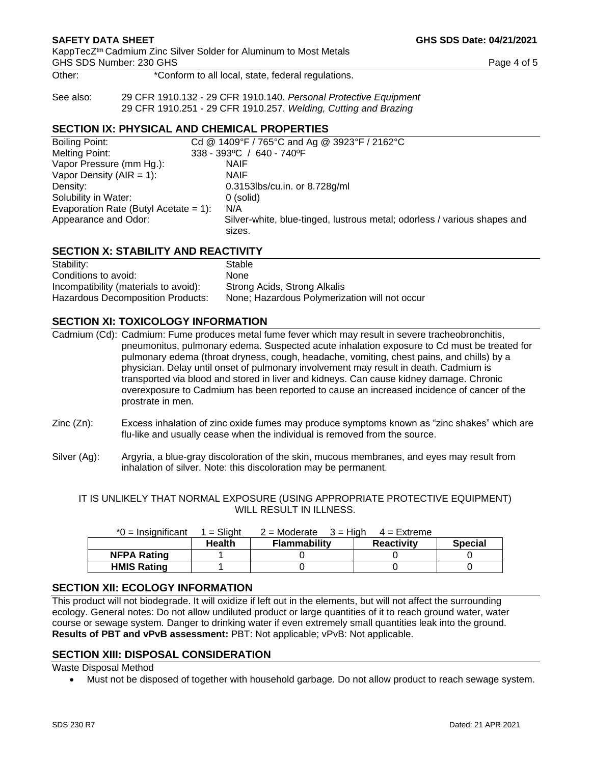**SAFETY DATA SHEET GHS SDS Date: 04/21/2021** 

Other:  $*$ Conform to all local, state, federal regulations.

See also: 29 CFR 1910.132 - 29 CFR 1910.140. *Personal Protective Equipment* 29 CFR 1910.251 - 29 CFR 1910.257. *Welding, Cutting and Brazing*

### **SECTION IX: PHYSICAL AND CHEMICAL PROPERTIES**

| Boiling Point:                        | Cd @ 1409°F / 765°C and Ag @ 3923°F / 2162°C                                       |  |  |
|---------------------------------------|------------------------------------------------------------------------------------|--|--|
| Melting Point:                        | $338 - 393$ °C / 640 - 740°F                                                       |  |  |
| Vapor Pressure (mm Hg.):              | <b>NAIF</b>                                                                        |  |  |
| Vapor Density ( $AIR = 1$ ):          | <b>NAIF</b>                                                                        |  |  |
| Density:                              | 0.3153lbs/cu.in. or 8.728g/ml                                                      |  |  |
| Solubility in Water:                  | 0 (solid)                                                                          |  |  |
| Evaporation Rate (Butyl Acetate = 1): | N/A                                                                                |  |  |
| Appearance and Odor:                  | Silver-white, blue-tinged, lustrous metal; odorless / various shapes and<br>sizes. |  |  |

## **SECTION X: STABILITY AND REACTIVITY**

| Stability:                            | Stable                                        |
|---------------------------------------|-----------------------------------------------|
| Conditions to avoid:                  | <b>None</b>                                   |
| Incompatibility (materials to avoid): | Strong Acids, Strong Alkalis                  |
| Hazardous Decomposition Products:     | None; Hazardous Polymerization will not occur |

#### **SECTION XI: TOXICOLOGY INFORMATION**

Cadmium (Cd): Cadmium: Fume produces metal fume fever which may result in severe tracheobronchitis, pneumonitus, pulmonary edema. Suspected acute inhalation exposure to Cd must be treated for pulmonary edema (throat dryness, cough, headache, vomiting, chest pains, and chills) by a physician. Delay until onset of pulmonary involvement may result in death. Cadmium is transported via blood and stored in liver and kidneys. Can cause kidney damage. Chronic overexposure to Cadmium has been reported to cause an increased incidence of cancer of the prostrate in men.

- Zinc (Zn): Excess inhalation of zinc oxide fumes may produce symptoms known as "zinc shakes" which are flu-like and usually cease when the individual is removed from the source.
- Silver (Ag): Argyria, a blue-gray discoloration of the skin, mucous membranes, and eyes may result from inhalation of silver. Note: this discoloration may be permanent.

IT IS UNLIKELY THAT NORMAL EXPOSURE (USING APPROPRIATE PROTECTIVE EQUIPMENT) WILL RESULT IN ILLNESS.

| $*0 =$ Insignificant | $=$ Slight    | $2 =$ Moderate $3 =$ High | $4$ = Extreme     |                |
|----------------------|---------------|---------------------------|-------------------|----------------|
|                      | <b>Health</b> | <b>Flammability</b>       | <b>Reactivity</b> | <b>Special</b> |
| <b>NFPA Rating</b>   |               |                           |                   |                |
| <b>HMIS Rating</b>   |               |                           |                   |                |

## **SECTION XII: ECOLOGY INFORMATION**

This product will not biodegrade. It will oxidize if left out in the elements, but will not affect the surrounding ecology. General notes: Do not allow undiluted product or large quantities of it to reach ground water, water course or sewage system. Danger to drinking water if even extremely small quantities leak into the ground. **Results of PBT and vPvB assessment:** PBT: Not applicable; vPvB: Not applicable.

#### **SECTION XIII: DISPOSAL CONSIDERATION**

Waste Disposal Method

• Must not be disposed of together with household garbage. Do not allow product to reach sewage system.